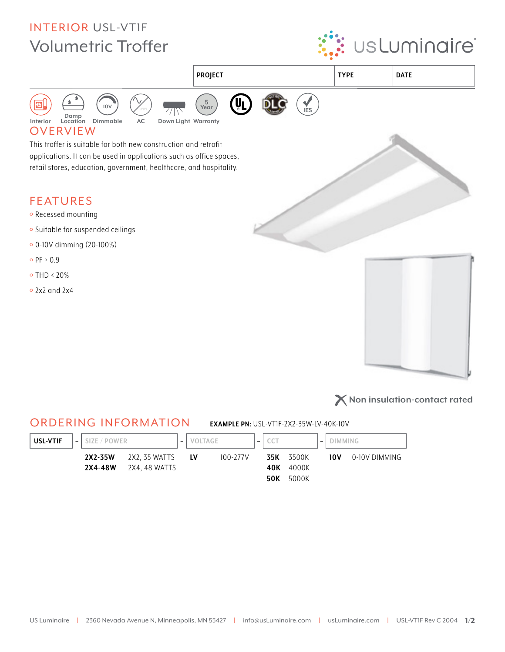## **INTERIOR USL-VTIF Volumetric Troffer**





X Non insulation-contact rated

## **ORDERING INFORMATION EXAMPLE PN: USL-VTIF-2X2-35W-LV-40K-10V USL-VTIF** SIZE / POWER VOLTAGE **DIMMING** CCT 2X2-35W 2X2, 35 WATTS  $LV$ 100-277V 35K 3500K  $10V$ 0-10V DIMMING 2X4-48W 2X4, 48 WATTS 40K 4000K

**50K** 5000K